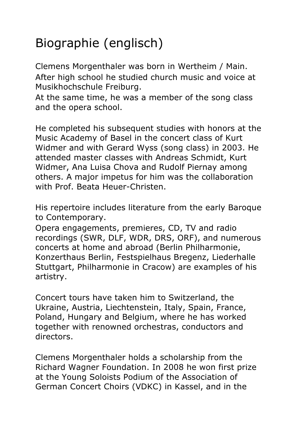## Biographie (englisch)

Clemens Morgenthaler was born in Wertheim / Main. After high school he studied church music and voice at Musikhochschule Freiburg.

At the same time, he was a member of the song class and the opera school.

He completed his subsequent studies with honors at the Music Academy of Basel in the concert class of Kurt Widmer and with Gerard Wyss (song class) in 2003. He attended master classes with Andreas Schmidt, Kurt Widmer, Ana Luisa Chova and Rudolf Piernay among others. A major impetus for him was the collaboration with Prof. Beata Heuer-Christen.

His repertoire includes literature from the early Baroque to Contemporary.

Opera engagements, premieres, CD, TV and radio recordings (SWR, DLF, WDR, DRS, ORF), and numerous concerts at home and abroad (Berlin Philharmonie, Konzerthaus Berlin, Festspielhaus Bregenz, Liederhalle Stuttgart, Philharmonie in Cracow) are examples of his artistry.

Concert tours have taken him to Switzerland, the Ukraine, Austria, Liechtenstein, Italy, Spain, France, Poland, Hungary and Belgium, where he has worked together with renowned orchestras, conductors and directors.

Clemens Morgenthaler holds a scholarship from the Richard Wagner Foundation. In 2008 he won first prize at the Young Soloists Podium of the Association of German Concert Choirs (VDKC) in Kassel, and in the